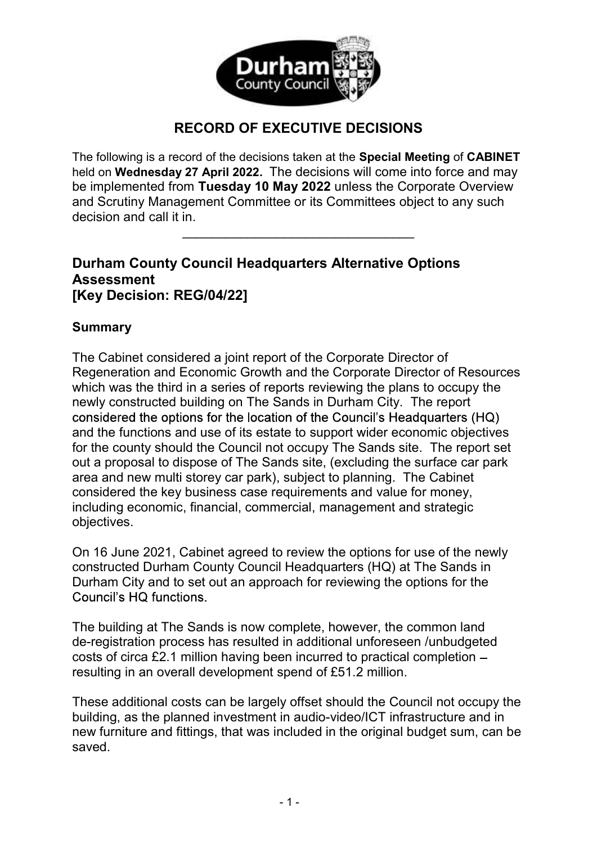

## RECORD OF EXECUTIVE DECISIONS

The following is a record of the decisions taken at the Special Meeting of CABINET held on Wednesday 27 April 2022. The decisions will come into force and may be implemented from Tuesday 10 May 2022 unless the Corporate Overview and Scrutiny Management Committee or its Committees object to any such  $\alpha$  decision and call it in.

## Durham County Council Headquarters Alternative Options Assessment [Key Decision: REG/04/22]

## Summary

The Cabinet considered a joint report of the Corporate Director of Regeneration and Economic Growth and the Corporate Director of Resources which was the third in a series of reports reviewing the plans to occupy the newly constructed building on The Sands in Durham City. The report considered the options for the location of the Council's Headquarters (HQ) and the functions and use of its estate to support wider economic objectives for the county should the Council not occupy The Sands site. The report set out a proposal to dispose of The Sands site, (excluding the surface car park area and new multi storey car park), subject to planning. The Cabinet considered the key business case requirements and value for money, including economic, financial, commercial, management and strategic objectives.

On 16 June 2021, Cabinet agreed to review the options for use of the newly constructed Durham County Council Headquarters (HQ) at The Sands in Durham City and to set out an approach for reviewing the options for the Council's HQ functions.

The building at The Sands is now complete, however, the common land de-registration process has resulted in additional unforeseen /unbudgeted costs of circa £2.1 million having been incurred to practical completion resulting in an overall development spend of £51.2 million.

These additional costs can be largely offset should the Council not occupy the building, as the planned investment in audio-video/ICT infrastructure and in new furniture and fittings, that was included in the original budget sum, can be saved.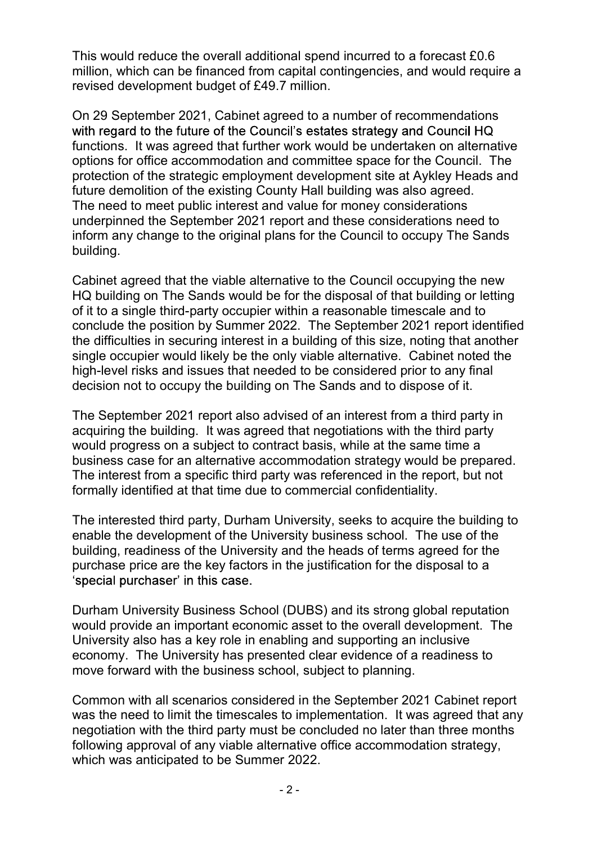This would reduce the overall additional spend incurred to a forecast £0.6 million, which can be financed from capital contingencies, and would require a revised development budget of £49.7 million.

On 29 September 2021, Cabinet agreed to a number of recommendations with regard to the future of the Council's estates strategy and Council HQ functions. It was agreed that further work would be undertaken on alternative options for office accommodation and committee space for the Council. The protection of the strategic employment development site at Aykley Heads and future demolition of the existing County Hall building was also agreed. The need to meet public interest and value for money considerations underpinned the September 2021 report and these considerations need to inform any change to the original plans for the Council to occupy The Sands building.

Cabinet agreed that the viable alternative to the Council occupying the new HQ building on The Sands would be for the disposal of that building or letting of it to a single third-party occupier within a reasonable timescale and to conclude the position by Summer 2022. The September 2021 report identified the difficulties in securing interest in a building of this size, noting that another single occupier would likely be the only viable alternative. Cabinet noted the high-level risks and issues that needed to be considered prior to any final decision not to occupy the building on The Sands and to dispose of it.

The September 2021 report also advised of an interest from a third party in acquiring the building. It was agreed that negotiations with the third party would progress on a subject to contract basis, while at the same time a business case for an alternative accommodation strategy would be prepared. The interest from a specific third party was referenced in the report, but not formally identified at that time due to commercial confidentiality.

The interested third party, Durham University, seeks to acquire the building to enable the development of the University business school. The use of the building, readiness of the University and the heads of terms agreed for the purchase price are the key factors in the justification for the disposal to a 'special purchaser' in this case.

Durham University Business School (DUBS) and its strong global reputation would provide an important economic asset to the overall development. The University also has a key role in enabling and supporting an inclusive economy. The University has presented clear evidence of a readiness to move forward with the business school, subject to planning.

Common with all scenarios considered in the September 2021 Cabinet report was the need to limit the timescales to implementation. It was agreed that any negotiation with the third party must be concluded no later than three months following approval of any viable alternative office accommodation strategy, which was anticipated to be Summer 2022.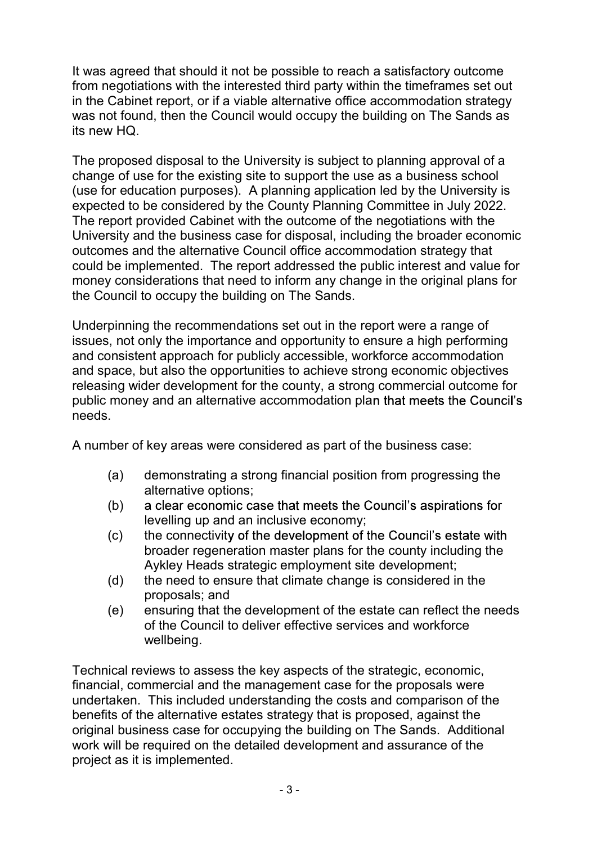It was agreed that should it not be possible to reach a satisfactory outcome from negotiations with the interested third party within the timeframes set out in the Cabinet report, or if a viable alternative office accommodation strategy was not found, then the Council would occupy the building on The Sands as its new HQ.

The proposed disposal to the University is subject to planning approval of a change of use for the existing site to support the use as a business school (use for education purposes). A planning application led by the University is expected to be considered by the County Planning Committee in July 2022. The report provided Cabinet with the outcome of the negotiations with the University and the business case for disposal, including the broader economic outcomes and the alternative Council office accommodation strategy that could be implemented. The report addressed the public interest and value for money considerations that need to inform any change in the original plans for the Council to occupy the building on The Sands.

Underpinning the recommendations set out in the report were a range of issues, not only the importance and opportunity to ensure a high performing and consistent approach for publicly accessible, workforce accommodation and space, but also the opportunities to achieve strong economic objectives releasing wider development for the county, a strong commercial outcome for public money and an alternative accommodation pla needs.

A number of key areas were considered as part of the business case:

- (a) demonstrating a strong financial position from progressing the alternative options;
- (b) a clear economic case that meets the Council's aspirations for levelling up and an inclusive economy;
- (c) the connectivity of the development of the Council's estate with broader regeneration master plans for the county including the Aykley Heads strategic employment site development;
- (d) the need to ensure that climate change is considered in the proposals; and
- (e) ensuring that the development of the estate can reflect the needs of the Council to deliver effective services and workforce wellbeing.

Technical reviews to assess the key aspects of the strategic, economic, financial, commercial and the management case for the proposals were undertaken. This included understanding the costs and comparison of the benefits of the alternative estates strategy that is proposed, against the original business case for occupying the building on The Sands. Additional work will be required on the detailed development and assurance of the project as it is implemented.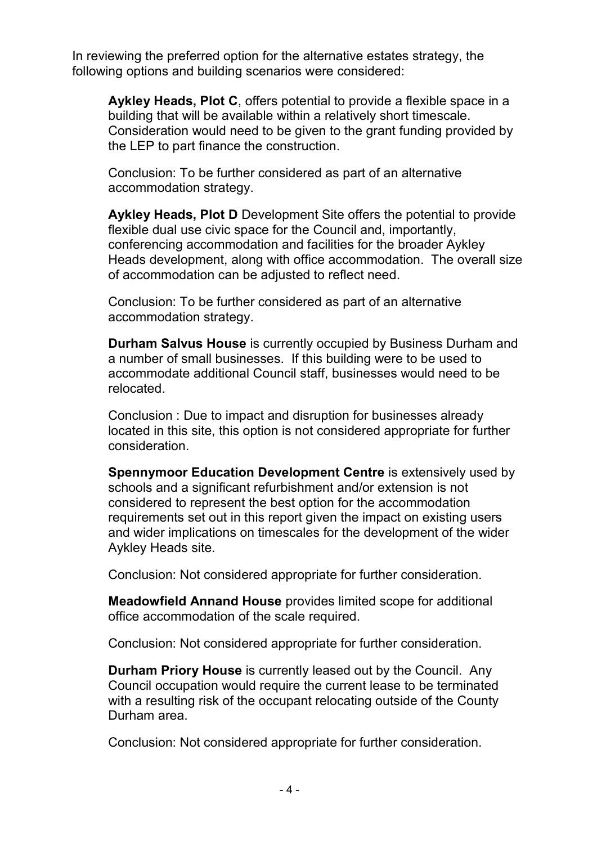In reviewing the preferred option for the alternative estates strategy, the following options and building scenarios were considered:

Aykley Heads, Plot C, offers potential to provide a flexible space in a building that will be available within a relatively short timescale. Consideration would need to be given to the grant funding provided by the LEP to part finance the construction.

Conclusion: To be further considered as part of an alternative accommodation strategy.

Aykley Heads, Plot D Development Site offers the potential to provide flexible dual use civic space for the Council and, importantly, conferencing accommodation and facilities for the broader Aykley Heads development, along with office accommodation. The overall size of accommodation can be adjusted to reflect need.

Conclusion: To be further considered as part of an alternative accommodation strategy.

Durham Salvus House is currently occupied by Business Durham and a number of small businesses. If this building were to be used to accommodate additional Council staff, businesses would need to be relocated.

Conclusion : Due to impact and disruption for businesses already located in this site, this option is not considered appropriate for further consideration.

Spennymoor Education Development Centre is extensively used by schools and a significant refurbishment and/or extension is not considered to represent the best option for the accommodation requirements set out in this report given the impact on existing users and wider implications on timescales for the development of the wider Aykley Heads site.

Conclusion: Not considered appropriate for further consideration.

Meadowfield Annand House provides limited scope for additional office accommodation of the scale required.

Conclusion: Not considered appropriate for further consideration.

Durham Priory House is currently leased out by the Council. Any Council occupation would require the current lease to be terminated with a resulting risk of the occupant relocating outside of the County Durham area.

Conclusion: Not considered appropriate for further consideration.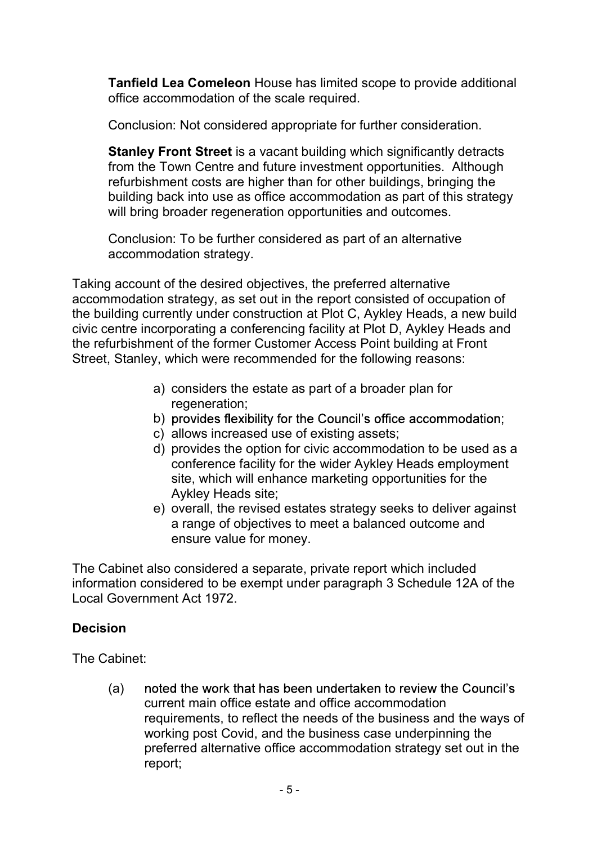Tanfield Lea Comeleon House has limited scope to provide additional office accommodation of the scale required.

Conclusion: Not considered appropriate for further consideration.

Stanley Front Street is a vacant building which significantly detracts from the Town Centre and future investment opportunities. Although refurbishment costs are higher than for other buildings, bringing the building back into use as office accommodation as part of this strategy will bring broader regeneration opportunities and outcomes.

Conclusion: To be further considered as part of an alternative accommodation strategy.

Taking account of the desired objectives, the preferred alternative accommodation strategy, as set out in the report consisted of occupation of the building currently under construction at Plot C, Aykley Heads, a new build civic centre incorporating a conferencing facility at Plot D, Aykley Heads and the refurbishment of the former Customer Access Point building at Front Street, Stanley, which were recommended for the following reasons:

- a) considers the estate as part of a broader plan for regeneration;
- b) provides flexibility for the Council's office accommodation;
- c) allows increased use of existing assets;
- d) provides the option for civic accommodation to be used as a conference facility for the wider Aykley Heads employment site, which will enhance marketing opportunities for the Aykley Heads site;
- e) overall, the revised estates strategy seeks to deliver against a range of objectives to meet a balanced outcome and ensure value for money.

The Cabinet also considered a separate, private report which included information considered to be exempt under paragraph 3 Schedule 12A of the Local Government Act 1972.

## Decision

The Cabinet:

(a) noted the work that has been undertaken to review the Council's current main office estate and office accommodation requirements, to reflect the needs of the business and the ways of working post Covid, and the business case underpinning the preferred alternative office accommodation strategy set out in the report;